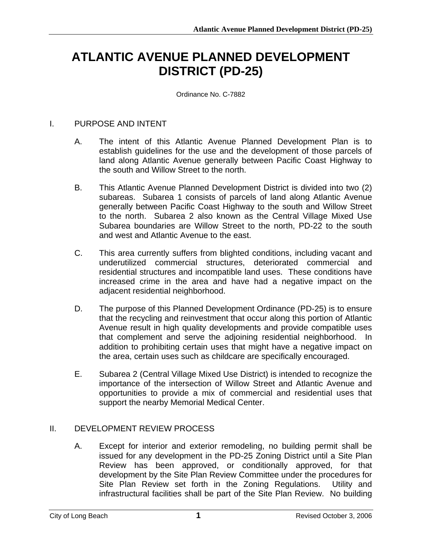# **ATLANTIC AVENUE PLANNED DEVELOPMENT DISTRICT (PD-25)**

Ordinance No. C-7882

### I. PURPOSE AND INTENT

- A. The intent of this Atlantic Avenue Planned Development Plan is to establish guidelines for the use and the development of those parcels of land along Atlantic Avenue generally between Pacific Coast Highway to the south and Willow Street to the north.
- B. This Atlantic Avenue Planned Development District is divided into two (2) subareas. Subarea 1 consists of parcels of land along Atlantic Avenue generally between Pacific Coast Highway to the south and Willow Street to the north. Subarea 2 also known as the Central Village Mixed Use Subarea boundaries are Willow Street to the north, PD-22 to the south and west and Atlantic Avenue to the east.
- C. This area currently suffers from blighted conditions, including vacant and underutilized commercial structures, deteriorated commercial and residential structures and incompatible land uses. These conditions have increased crime in the area and have had a negative impact on the adjacent residential neighborhood.
- D. The purpose of this Planned Development Ordinance (PD-25) is to ensure that the recycling and reinvestment that occur along this portion of Atlantic Avenue result in high quality developments and provide compatible uses that complement and serve the adjoining residential neighborhood. In addition to prohibiting certain uses that might have a negative impact on the area, certain uses such as childcare are specifically encouraged.
- E. Subarea 2 (Central Village Mixed Use District) is intended to recognize the importance of the intersection of Willow Street and Atlantic Avenue and opportunities to provide a mix of commercial and residential uses that support the nearby Memorial Medical Center.

## II. DEVELOPMENT REVIEW PROCESS

A. Except for interior and exterior remodeling, no building permit shall be issued for any development in the PD-25 Zoning District until a Site Plan Review has been approved, or conditionally approved, for that development by the Site Plan Review Committee under the procedures for Site Plan Review set forth in the Zoning Regulations. Utility and infrastructural facilities shall be part of the Site Plan Review. No building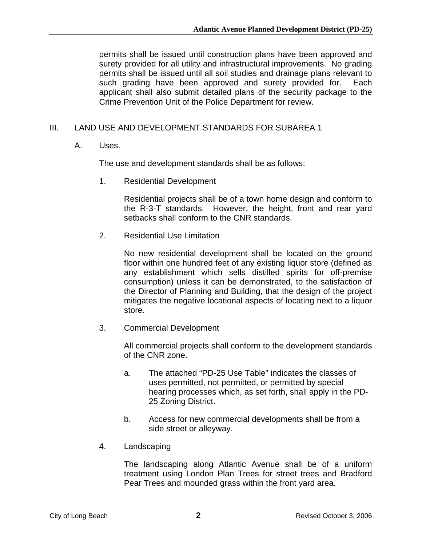permits shall be issued until construction plans have been approved and surety provided for all utility and infrastructural improvements. No grading permits shall be issued until all soil studies and drainage plans relevant to such grading have been approved and surety provided for. Each applicant shall also submit detailed plans of the security package to the Crime Prevention Unit of the Police Department for review.

## III. LAND USE AND DEVELOPMENT STANDARDS FOR SUBAREA 1

A. Uses.

The use and development standards shall be as follows:

1. Residential Development

Residential projects shall be of a town home design and conform to the R-3-T standards. However, the height, front and rear yard setbacks shall conform to the CNR standards.

2. Residential Use Limitation

No new residential development shall be located on the ground floor within one hundred feet of any existing liquor store (defined as any establishment which sells distilled spirits for off-premise consumption) unless it can be demonstrated, to the satisfaction of the Director of Planning and Building, that the design of the project mitigates the negative locational aspects of locating next to a liquor store.

3. Commercial Development

All commercial projects shall conform to the development standards of the CNR zone.

- a. The attached "PD-25 Use Table" indicates the classes of uses permitted, not permitted, or permitted by special hearing processes which, as set forth, shall apply in the PD-25 Zoning District.
- b. Access for new commercial developments shall be from a side street or alleyway.
- 4. Landscaping

The landscaping along Atlantic Avenue shall be of a uniform treatment using London Plan Trees for street trees and Bradford Pear Trees and mounded grass within the front yard area.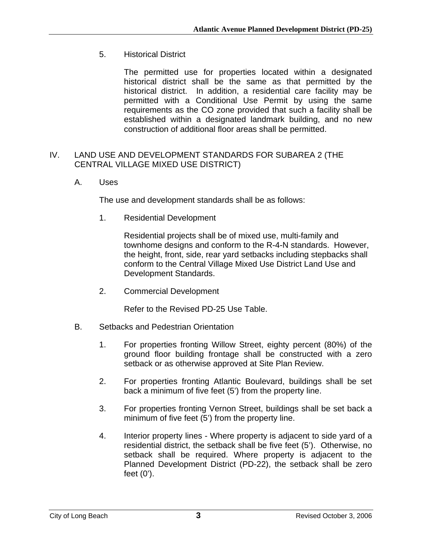5. Historical District

The permitted use for properties located within a designated historical district shall be the same as that permitted by the historical district. In addition, a residential care facility may be permitted with a Conditional Use Permit by using the same requirements as the CO zone provided that such a facility shall be established within a designated landmark building, and no new construction of additional floor areas shall be permitted.

### IV. LAND USE AND DEVELOPMENT STANDARDS FOR SUBAREA 2 (THE CENTRAL VILLAGE MIXED USE DISTRICT)

A. Uses

The use and development standards shall be as follows:

1. Residential Development

Residential projects shall be of mixed use, multi-family and townhome designs and conform to the R-4-N standards. However, the height, front, side, rear yard setbacks including stepbacks shall conform to the Central Village Mixed Use District Land Use and Development Standards.

2. Commercial Development

Refer to the Revised PD-25 Use Table.

- B. Setbacks and Pedestrian Orientation
	- 1. For properties fronting Willow Street, eighty percent (80%) of the ground floor building frontage shall be constructed with a zero setback or as otherwise approved at Site Plan Review.
	- 2. For properties fronting Atlantic Boulevard, buildings shall be set back a minimum of five feet (5') from the property line.
	- 3. For properties fronting Vernon Street, buildings shall be set back a minimum of five feet (5') from the property line.
	- 4. Interior property lines Where property is adjacent to side yard of a residential district, the setback shall be five feet (5'). Otherwise, no setback shall be required. Where property is adjacent to the Planned Development District (PD-22), the setback shall be zero feet (0').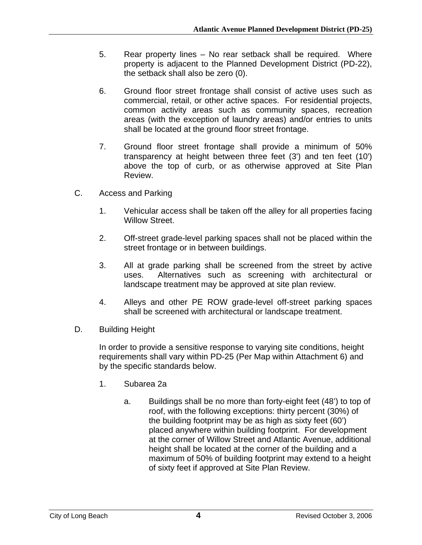- 5. Rear property lines No rear setback shall be required. Where property is adjacent to the Planned Development District (PD-22), the setback shall also be zero (0).
- 6. Ground floor street frontage shall consist of active uses such as commercial, retail, or other active spaces. For residential projects, common activity areas such as community spaces, recreation areas (with the exception of laundry areas) and/or entries to units shall be located at the ground floor street frontage.
- 7. Ground floor street frontage shall provide a minimum of 50% transparency at height between three feet (3') and ten feet (10') above the top of curb, or as otherwise approved at Site Plan Review.
- C. Access and Parking
	- 1. Vehicular access shall be taken off the alley for all properties facing Willow Street.
	- 2. Off-street grade-level parking spaces shall not be placed within the street frontage or in between buildings.
	- 3. All at grade parking shall be screened from the street by active uses. Alternatives such as screening with architectural or landscape treatment may be approved at site plan review.
	- 4. Alleys and other PE ROW grade-level off-street parking spaces shall be screened with architectural or landscape treatment.
- D. Building Height

In order to provide a sensitive response to varying site conditions, height requirements shall vary within PD-25 (Per Map within Attachment 6) and by the specific standards below.

- 1. Subarea 2a
	- a. Buildings shall be no more than forty-eight feet (48') to top of roof, with the following exceptions: thirty percent (30%) of the building footprint may be as high as sixty feet (60') placed anywhere within building footprint. For development at the corner of Willow Street and Atlantic Avenue, additional height shall be located at the corner of the building and a maximum of 50% of building footprint may extend to a height of sixty feet if approved at Site Plan Review.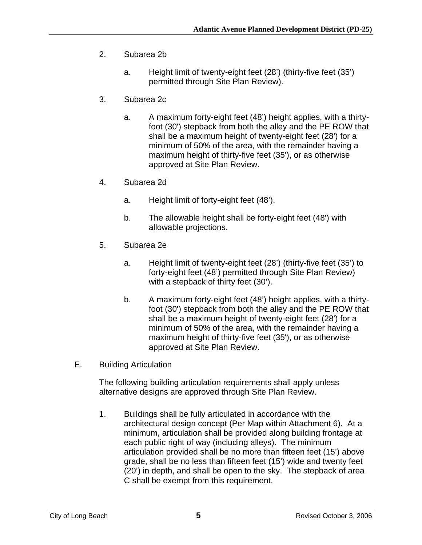- 2. Subarea 2b
	- a. Height limit of twenty-eight feet (28') (thirty-five feet (35') permitted through Site Plan Review).
- 3. Subarea 2c
	- a. A maximum forty-eight feet (48') height applies, with a thirtyfoot (30') stepback from both the alley and the PE ROW that shall be a maximum height of twenty-eight feet (28') for a minimum of 50% of the area, with the remainder having a maximum height of thirty-five feet (35'), or as otherwise approved at Site Plan Review.
- 4. Subarea 2d
	- a. Height limit of forty-eight feet (48').
	- b. The allowable height shall be forty-eight feet (48') with allowable projections.
- 5. Subarea 2e
	- a. Height limit of twenty-eight feet (28') (thirty-five feet (35') to forty-eight feet (48') permitted through Site Plan Review) with a stepback of thirty feet (30').
	- b. A maximum forty-eight feet (48') height applies, with a thirtyfoot (30') stepback from both the alley and the PE ROW that shall be a maximum height of twenty-eight feet (28') for a minimum of 50% of the area, with the remainder having a maximum height of thirty-five feet (35'), or as otherwise approved at Site Plan Review.
- E. Building Articulation

The following building articulation requirements shall apply unless alternative designs are approved through Site Plan Review.

1. Buildings shall be fully articulated in accordance with the architectural design concept (Per Map within Attachment 6). At a minimum, articulation shall be provided along building frontage at each public right of way (including alleys). The minimum articulation provided shall be no more than fifteen feet (15') above grade, shall be no less than fifteen feet (15') wide and twenty feet (20') in depth, and shall be open to the sky. The stepback of area C shall be exempt from this requirement.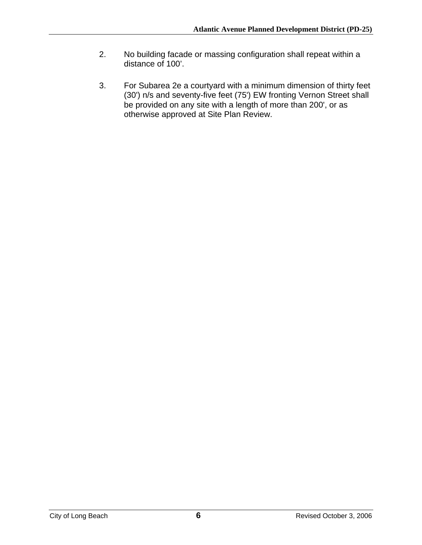- 2. No building facade or massing configuration shall repeat within a distance of 100'.
- 3. For Subarea 2e a courtyard with a minimum dimension of thirty feet (30') n/s and seventy-five feet (75') EW fronting Vernon Street shall be provided on any site with a length of more than 200', or as otherwise approved at Site Plan Review.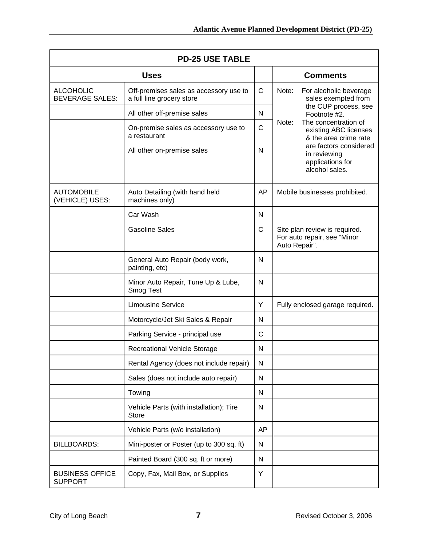| <b>PD-25 USE TABLE</b>                     |                                                                     |              |                |                                                                                                                                                                 |
|--------------------------------------------|---------------------------------------------------------------------|--------------|----------------|-----------------------------------------------------------------------------------------------------------------------------------------------------------------|
|                                            | <b>Uses</b>                                                         |              |                | <b>Comments</b>                                                                                                                                                 |
| <b>ALCOHOLIC</b><br><b>BEVERAGE SALES:</b> | Off-premises sales as accessory use to<br>a full line grocery store | $\mathsf{C}$ | Note:<br>Note: | For alcoholic beverage<br>sales exempted from<br>the CUP process, see<br>Footnote #2.<br>The concentration of<br>existing ABC licenses<br>& the area crime rate |
|                                            | All other off-premise sales                                         | N            |                |                                                                                                                                                                 |
|                                            | On-premise sales as accessory use to<br>a restaurant                | $\mathsf{C}$ |                |                                                                                                                                                                 |
|                                            | All other on-premise sales                                          | N            |                | are factors considered<br>in reviewing<br>applications for<br>alcohol sales.                                                                                    |
| <b>AUTOMOBILE</b><br>(VEHICLE) USES:       | Auto Detailing (with hand held<br>machines only)                    | AP           |                | Mobile businesses prohibited.                                                                                                                                   |
|                                            | Car Wash                                                            | N            |                |                                                                                                                                                                 |
|                                            | <b>Gasoline Sales</b>                                               | C            | Auto Repair".  | Site plan review is required.<br>For auto repair, see "Minor                                                                                                    |
|                                            | General Auto Repair (body work,<br>painting, etc)                   | N            |                |                                                                                                                                                                 |
|                                            | Minor Auto Repair, Tune Up & Lube,<br>Smog Test                     | N            |                |                                                                                                                                                                 |
|                                            | <b>Limousine Service</b>                                            | Y            |                | Fully enclosed garage required.                                                                                                                                 |
|                                            | Motorcycle/Jet Ski Sales & Repair                                   | N            |                |                                                                                                                                                                 |
|                                            | Parking Service - principal use                                     | $\mathsf{C}$ |                |                                                                                                                                                                 |
|                                            | Recreational Vehicle Storage                                        | N            |                |                                                                                                                                                                 |
|                                            | Rental Agency (does not include repair)                             | N            |                |                                                                                                                                                                 |
|                                            | Sales (does not include auto repair)                                | N            |                |                                                                                                                                                                 |
|                                            | Towing                                                              | N            |                |                                                                                                                                                                 |
|                                            | Vehicle Parts (with installation); Tire<br><b>Store</b>             | N            |                |                                                                                                                                                                 |
|                                            | Vehicle Parts (w/o installation)                                    | AP           |                |                                                                                                                                                                 |
| <b>BILLBOARDS:</b>                         | Mini-poster or Poster (up to 300 sq. ft)                            | N            |                |                                                                                                                                                                 |
|                                            | Painted Board (300 sq. ft or more)                                  | N            |                |                                                                                                                                                                 |
| <b>BUSINESS OFFICE</b><br><b>SUPPORT</b>   | Copy, Fax, Mail Box, or Supplies                                    | Υ            |                |                                                                                                                                                                 |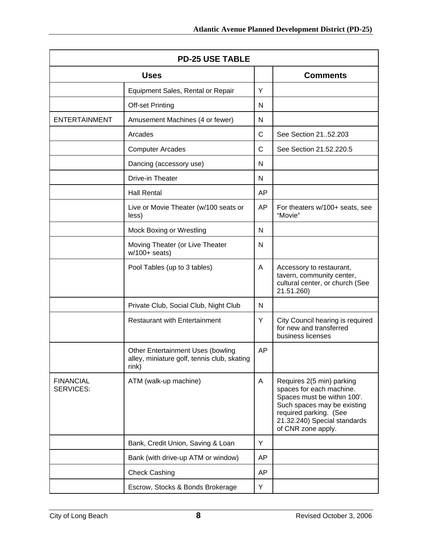| <b>PD-25 USE TABLE</b>        |                                                                                                  |    |                                                                                                                                                                                                     |
|-------------------------------|--------------------------------------------------------------------------------------------------|----|-----------------------------------------------------------------------------------------------------------------------------------------------------------------------------------------------------|
| <b>Uses</b>                   |                                                                                                  |    | <b>Comments</b>                                                                                                                                                                                     |
|                               | Equipment Sales, Rental or Repair                                                                | Y  |                                                                                                                                                                                                     |
|                               | Off-set Printing                                                                                 | N  |                                                                                                                                                                                                     |
| <b>ENTERTAINMENT</b>          | Amusement Machines (4 or fewer)                                                                  | N  |                                                                                                                                                                                                     |
|                               | Arcades                                                                                          | C  | See Section 2152.203                                                                                                                                                                                |
|                               | <b>Computer Arcades</b>                                                                          | C  | See Section 21.52.220.5                                                                                                                                                                             |
|                               | Dancing (accessory use)                                                                          | N  |                                                                                                                                                                                                     |
|                               | Drive-in Theater                                                                                 | N  |                                                                                                                                                                                                     |
|                               | <b>Hall Rental</b>                                                                               | AP |                                                                                                                                                                                                     |
|                               | Live or Movie Theater (w/100 seats or<br>less)                                                   | AP | For theaters w/100+ seats, see<br>"Movie"                                                                                                                                                           |
|                               | Mock Boxing or Wrestling                                                                         | N  |                                                                                                                                                                                                     |
|                               | Moving Theater (or Live Theater<br>$w/100+$ seats)                                               | N  |                                                                                                                                                                                                     |
|                               | Pool Tables (up to 3 tables)                                                                     | Α  | Accessory to restaurant,<br>tavern, community center,<br>cultural center, or church (See<br>21.51.260)                                                                                              |
|                               | Private Club, Social Club, Night Club                                                            | N  |                                                                                                                                                                                                     |
|                               | <b>Restaurant with Entertainment</b>                                                             | Υ  | City Council hearing is required<br>for new and transferred<br>business licenses                                                                                                                    |
|                               | <b>Other Entertainment Uses (bowling</b><br>alley, miniature golf, tennis club, skating<br>rink) | AP |                                                                                                                                                                                                     |
| <b>FINANCIAL</b><br>SERVICES: | ATM (walk-up machine)                                                                            | A  | Requires 2(5 min) parking<br>spaces for each machine.<br>Spaces must be within 100'.<br>Such spaces may be existing<br>required parking. (See<br>21.32.240) Special standards<br>of CNR zone apply. |
|                               | Bank, Credit Union, Saving & Loan                                                                | Y  |                                                                                                                                                                                                     |
|                               | Bank (with drive-up ATM or window)                                                               | AP |                                                                                                                                                                                                     |
|                               | <b>Check Cashing</b>                                                                             | AP |                                                                                                                                                                                                     |
|                               | Escrow, Stocks & Bonds Brokerage                                                                 | Υ  |                                                                                                                                                                                                     |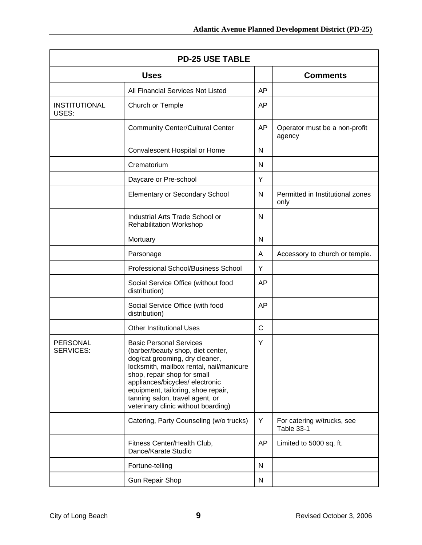| <b>PD-25 USE TABLE</b>              |                                                                                                                                                                                                                                                                                                                                     |    |                                          |
|-------------------------------------|-------------------------------------------------------------------------------------------------------------------------------------------------------------------------------------------------------------------------------------------------------------------------------------------------------------------------------------|----|------------------------------------------|
| <b>Uses</b>                         |                                                                                                                                                                                                                                                                                                                                     |    | <b>Comments</b>                          |
|                                     | All Financial Services Not Listed                                                                                                                                                                                                                                                                                                   | AP |                                          |
| <b>INSTITUTIONAL</b><br>USES:       | Church or Temple                                                                                                                                                                                                                                                                                                                    | AP |                                          |
|                                     | <b>Community Center/Cultural Center</b>                                                                                                                                                                                                                                                                                             | AP | Operator must be a non-profit<br>agency  |
|                                     | Convalescent Hospital or Home                                                                                                                                                                                                                                                                                                       | N  |                                          |
|                                     | Crematorium                                                                                                                                                                                                                                                                                                                         | N  |                                          |
|                                     | Daycare or Pre-school                                                                                                                                                                                                                                                                                                               | Y  |                                          |
|                                     | Elementary or Secondary School                                                                                                                                                                                                                                                                                                      | N  | Permitted in Institutional zones<br>only |
|                                     | Industrial Arts Trade School or<br><b>Rehabilitation Workshop</b>                                                                                                                                                                                                                                                                   | N  |                                          |
|                                     | Mortuary                                                                                                                                                                                                                                                                                                                            | N  |                                          |
|                                     | Parsonage                                                                                                                                                                                                                                                                                                                           | A  | Accessory to church or temple.           |
|                                     | Professional School/Business School                                                                                                                                                                                                                                                                                                 | Y  |                                          |
|                                     | Social Service Office (without food<br>distribution)                                                                                                                                                                                                                                                                                | AP |                                          |
|                                     | Social Service Office (with food<br>distribution)                                                                                                                                                                                                                                                                                   | AP |                                          |
|                                     | <b>Other Institutional Uses</b>                                                                                                                                                                                                                                                                                                     | C  |                                          |
| <b>PERSONAL</b><br><b>SERVICES:</b> | <b>Basic Personal Services</b><br>(barber/beauty shop, diet center,<br>dog/cat grooming, dry cleaner,<br>locksmith, mailbox rental, nail/manicure<br>shop, repair shop for small<br>appliances/bicycles/ electronic<br>equipment, tailoring, shoe repair,<br>tanning salon, travel agent, or<br>veterinary clinic without boarding) | Y  |                                          |
|                                     | Catering, Party Counseling (w/o trucks)                                                                                                                                                                                                                                                                                             | Υ  | For catering w/trucks, see<br>Table 33-1 |
|                                     | Fitness Center/Health Club,<br>Dance/Karate Studio                                                                                                                                                                                                                                                                                  | AP | Limited to 5000 sq. ft.                  |
|                                     | Fortune-telling                                                                                                                                                                                                                                                                                                                     | N  |                                          |
|                                     | <b>Gun Repair Shop</b>                                                                                                                                                                                                                                                                                                              | N  |                                          |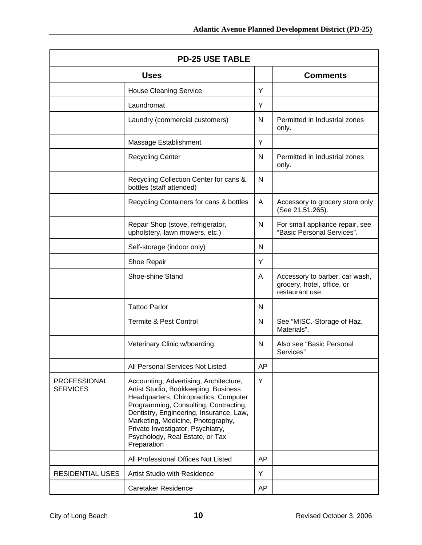| <b>PD-25 USE TABLE</b>                 |                                                                                                                                                                                                                                                                                                                                         |    |                                                                                 |
|----------------------------------------|-----------------------------------------------------------------------------------------------------------------------------------------------------------------------------------------------------------------------------------------------------------------------------------------------------------------------------------------|----|---------------------------------------------------------------------------------|
| <b>Uses</b>                            |                                                                                                                                                                                                                                                                                                                                         |    | <b>Comments</b>                                                                 |
|                                        | <b>House Cleaning Service</b>                                                                                                                                                                                                                                                                                                           | Y  |                                                                                 |
|                                        | Laundromat                                                                                                                                                                                                                                                                                                                              | Y  |                                                                                 |
|                                        | Laundry (commercial customers)                                                                                                                                                                                                                                                                                                          | N  | Permitted in Industrial zones<br>only.                                          |
|                                        | Massage Establishment                                                                                                                                                                                                                                                                                                                   | Υ  |                                                                                 |
|                                        | <b>Recycling Center</b>                                                                                                                                                                                                                                                                                                                 | N. | Permitted in Industrial zones<br>only.                                          |
|                                        | Recycling Collection Center for cans &<br>bottles (staff attended)                                                                                                                                                                                                                                                                      | N  |                                                                                 |
|                                        | Recycling Containers for cans & bottles                                                                                                                                                                                                                                                                                                 | A  | Accessory to grocery store only<br>(See 21.51.265).                             |
|                                        | Repair Shop (stove, refrigerator,<br>upholstery, lawn mowers, etc.)                                                                                                                                                                                                                                                                     | N  | For small appliance repair, see<br>"Basic Personal Services".                   |
|                                        | Self-storage (indoor only)                                                                                                                                                                                                                                                                                                              | N  |                                                                                 |
|                                        | Shoe Repair                                                                                                                                                                                                                                                                                                                             | Y  |                                                                                 |
|                                        | Shoe-shine Stand                                                                                                                                                                                                                                                                                                                        | A  | Accessory to barber, car wash,<br>grocery, hotel, office, or<br>restaurant use. |
|                                        | <b>Tattoo Parlor</b>                                                                                                                                                                                                                                                                                                                    | N  |                                                                                 |
|                                        | <b>Termite &amp; Pest Control</b>                                                                                                                                                                                                                                                                                                       | N  | See "MISC.-Storage of Haz.<br>Materials".                                       |
|                                        | Veterinary Clinic w/boarding                                                                                                                                                                                                                                                                                                            | N  | Also see "Basic Personal<br>Services"                                           |
|                                        | All Personal Services Not Listed                                                                                                                                                                                                                                                                                                        | AP |                                                                                 |
| <b>PROFESSIONAL</b><br><b>SERVICES</b> | Accounting, Advertising, Architecture,<br>Artist Studio, Bookkeeping, Business<br>Headquarters, Chiropractics, Computer<br>Programming, Consulting, Contracting,<br>Dentistry, Engineering, Insurance, Law,<br>Marketing, Medicine, Photography,<br>Private Investigator, Psychiatry,<br>Psychology, Real Estate, or Tax<br>Preparation | Y  |                                                                                 |
|                                        | All Professional Offices Not Listed                                                                                                                                                                                                                                                                                                     | AP |                                                                                 |
| <b>RESIDENTIAL USES</b>                | <b>Artist Studio with Residence</b>                                                                                                                                                                                                                                                                                                     | Y  |                                                                                 |
|                                        | <b>Caretaker Residence</b>                                                                                                                                                                                                                                                                                                              | AP |                                                                                 |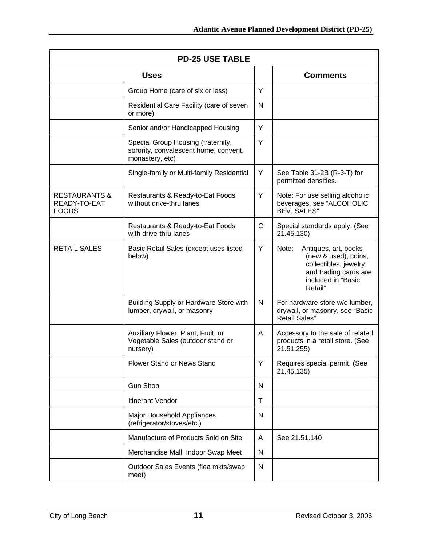| <b>PD-25 USE TABLE</b>                                   |                                                                                                |              |                                                                                                                                           |
|----------------------------------------------------------|------------------------------------------------------------------------------------------------|--------------|-------------------------------------------------------------------------------------------------------------------------------------------|
| <b>Uses</b>                                              |                                                                                                |              | <b>Comments</b>                                                                                                                           |
|                                                          | Group Home (care of six or less)                                                               | Υ            |                                                                                                                                           |
|                                                          | Residential Care Facility (care of seven<br>or more)                                           | N            |                                                                                                                                           |
|                                                          | Senior and/or Handicapped Housing                                                              | Υ            |                                                                                                                                           |
|                                                          | Special Group Housing (fraternity,<br>sorority, convalescent home, convent,<br>monastery, etc) | Y            |                                                                                                                                           |
|                                                          | Single-family or Multi-family Residential                                                      | Y            | See Table 31-2B (R-3-T) for<br>permitted densities.                                                                                       |
| <b>RESTAURANTS &amp;</b><br>READY-TO-EAT<br><b>FOODS</b> | Restaurants & Ready-to-Eat Foods<br>without drive-thru lanes                                   | Y            | Note: For use selling alcoholic<br>beverages, see "ALCOHOLIC<br><b>BEV. SALES"</b>                                                        |
|                                                          | Restaurants & Ready-to-Eat Foods<br>with drive-thru lanes                                      | C            | Special standards apply. (See<br>21.45.130)                                                                                               |
| <b>RETAIL SALES</b>                                      | Basic Retail Sales (except uses listed<br>below)                                               | Y            | Note:<br>Antiques, art, books<br>(new & used), coins,<br>collectibles, jewelry,<br>and trading cards are<br>included in "Basic<br>Retail" |
|                                                          | Building Supply or Hardware Store with<br>lumber, drywall, or masonry                          | N            | For hardware store w/o lumber,<br>drywall, or masonry, see "Basic<br><b>Retail Sales"</b>                                                 |
|                                                          | Auxiliary Flower, Plant, Fruit, or<br>Vegetable Sales (outdoor stand or<br>nursery)            | A            | Accessory to the sale of related<br>products in a retail store. (See<br>21.51.255)                                                        |
|                                                          | <b>Flower Stand or News Stand</b>                                                              | Υ            | Requires special permit. (See<br>21.45.135)                                                                                               |
|                                                          | <b>Gun Shop</b>                                                                                | N            |                                                                                                                                           |
|                                                          | Itinerant Vendor                                                                               | $\mathsf{T}$ |                                                                                                                                           |
|                                                          | Major Household Appliances<br>(refrigerator/stoves/etc.)                                       | N            |                                                                                                                                           |
|                                                          | Manufacture of Products Sold on Site                                                           | A            | See 21.51.140                                                                                                                             |
|                                                          | Merchandise Mall, Indoor Swap Meet                                                             | N            |                                                                                                                                           |
|                                                          | Outdoor Sales Events (flea mkts/swap<br>meet)                                                  | N            |                                                                                                                                           |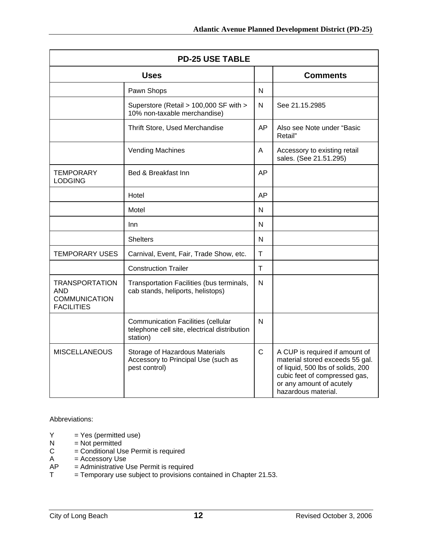| <b>PD-25 USE TABLE</b>                                                    |                                                                                                       |              |                                                                                                                                                                                            |
|---------------------------------------------------------------------------|-------------------------------------------------------------------------------------------------------|--------------|--------------------------------------------------------------------------------------------------------------------------------------------------------------------------------------------|
| <b>Uses</b>                                                               |                                                                                                       |              | <b>Comments</b>                                                                                                                                                                            |
|                                                                           | Pawn Shops                                                                                            | N            |                                                                                                                                                                                            |
|                                                                           | Superstore (Retail > 100,000 SF with ><br>10% non-taxable merchandise)                                | N            | See 21.15.2985                                                                                                                                                                             |
|                                                                           | Thrift Store, Used Merchandise                                                                        | AP           | Also see Note under "Basic<br>Retail"                                                                                                                                                      |
|                                                                           | <b>Vending Machines</b>                                                                               | Α            | Accessory to existing retail<br>sales. (See 21.51.295)                                                                                                                                     |
| <b>TEMPORARY</b><br><b>LODGING</b>                                        | Bed & Breakfast Inn                                                                                   | AP           |                                                                                                                                                                                            |
|                                                                           | Hotel                                                                                                 | <b>AP</b>    |                                                                                                                                                                                            |
|                                                                           | Motel                                                                                                 | N            |                                                                                                                                                                                            |
|                                                                           | Inn                                                                                                   | N            |                                                                                                                                                                                            |
|                                                                           | <b>Shelters</b>                                                                                       | N            |                                                                                                                                                                                            |
| TEMPORARY USES                                                            | Carnival, Event, Fair, Trade Show, etc.                                                               | $\mathsf{T}$ |                                                                                                                                                                                            |
|                                                                           | <b>Construction Trailer</b>                                                                           | $\mathsf T$  |                                                                                                                                                                                            |
| <b>TRANSPORTATION</b><br>AND<br><b>COMMUNICATION</b><br><b>FACILITIES</b> | Transportation Facilities (bus terminals,<br>cab stands, heliports, helistops)                        | N            |                                                                                                                                                                                            |
|                                                                           | <b>Communication Facilities (cellular</b><br>telephone cell site, electrical distribution<br>station) | N            |                                                                                                                                                                                            |
| <b>MISCELLANEOUS</b>                                                      | Storage of Hazardous Materials<br>Accessory to Principal Use (such as<br>pest control)                | $\mathsf{C}$ | A CUP is required if amount of<br>material stored exceeds 55 gal.<br>of liquid, 500 lbs of solids, 200<br>cubic feet of compressed gas,<br>or any amount of acutely<br>hazardous material. |

Abbreviations:

- $Y = Yes (permitted use)$ <br>  $N = Not permitted$
- $N = Not permitted$ <br> $C = Conditional Us$
- $C =$  Conditional Use Permit is required<br>A = Accessory Use
- $A = Accessory Use  
\nAP = Administrative U$
- $=$  Administrative Use Permit is required
- $T = T$ emporary use subject to provisions contained in Chapter 21.53.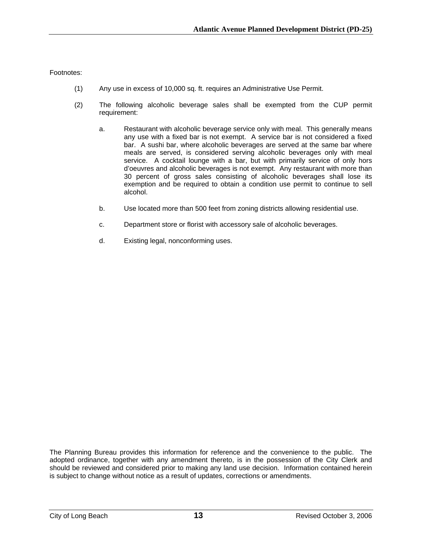Footnotes:

- (1) Any use in excess of 10,000 sq. ft. requires an Administrative Use Permit.
- (2) The following alcoholic beverage sales shall be exempted from the CUP permit requirement:
	- a. Restaurant with alcoholic beverage service only with meal. This generally means any use with a fixed bar is not exempt. A service bar is not considered a fixed bar. A sushi bar, where alcoholic beverages are served at the same bar where meals are served, is considered serving alcoholic beverages only with meal service. A cocktail lounge with a bar, but with primarily service of only hors d'oeuvres and alcoholic beverages is not exempt. Any restaurant with more than 30 percent of gross sales consisting of alcoholic beverages shall lose its exemption and be required to obtain a condition use permit to continue to sell alcohol.
	- b. Use located more than 500 feet from zoning districts allowing residential use.
	- c. Department store or florist with accessory sale of alcoholic beverages.
	- d. Existing legal, nonconforming uses.

The Planning Bureau provides this information for reference and the convenience to the public. The adopted ordinance, together with any amendment thereto, is in the possession of the City Clerk and should be reviewed and considered prior to making any land use decision. Information contained herein is subject to change without notice as a result of updates, corrections or amendments.